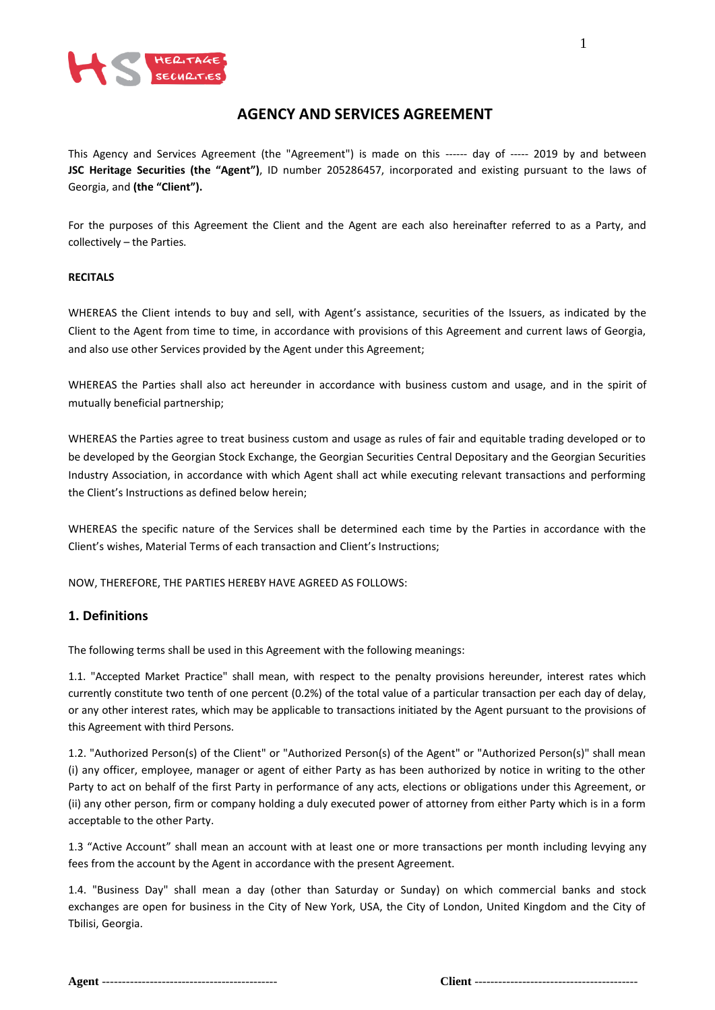

# **AGENCY AND SERVICES AGREEMENT**

This Agency and Services Agreement (the "Agreement") is made on this ------ day of ----- 2019 by and between **JSC Heritage Securities (the "Agent")**, ID number 205286457, incorporated and existing pursuant to the laws of Georgia, and **(the "Client").**

For the purposes of this Agreement the Client and the Agent are each also hereinafter referred to as a Party, and collectively – the Parties.

#### **RECITALS**

WHEREAS the Client intends to buy and sell, with Agent's assistance, securities of the Issuers, as indicated by the Client to the Agent from time to time, in accordance with provisions of this Agreement and current laws of Georgia, and also use other Services provided by the Agent under this Agreement;

WHEREAS the Parties shall also act hereunder in accordance with business custom and usage, and in the spirit of mutually beneficial partnership;

WHEREAS the Parties agree to treat business custom and usage as rules of fair and equitable trading developed or to be developed by the Georgian Stock Exchange, the Georgian Securities Central Depositary and the Georgian Securities Industry Association, in accordance with which Agent shall act while executing relevant transactions and performing the Client's Instructions as defined below herein;

WHEREAS the specific nature of the Services shall be determined each time by the Parties in accordance with the Client's wishes, Material Terms of each transaction and Client's Instructions;

NOW, THEREFORE, THE PARTIES HEREBY HAVE AGREED AS FOLLOWS:

#### **1. Definitions**

The following terms shall be used in this Agreement with the following meanings:

1.1. "Accepted Market Practice" shall mean, with respect to the penalty provisions hereunder, interest rates which currently constitute two tenth of one percent (0.2%) of the total value of a particular transaction per each day of delay, or any other interest rates, which may be applicable to transactions initiated by the Agent pursuant to the provisions of this Agreement with third Persons.

1.2. "Authorized Person(s) of the Client" or "Authorized Person(s) of the Agent" or "Authorized Person(s)" shall mean (i) any officer, employee, manager or agent of either Party as has been authorized by notice in writing to the other Party to act on behalf of the first Party in performance of any acts, elections or obligations under this Agreement, or (ii) any other person, firm or company holding a duly executed power of attorney from either Party which is in a form acceptable to the other Party.

1.3 "Active Account" shall mean an account with at least one or more transactions per month including levying any fees from the account by the Agent in accordance with the present Agreement.

1.4. "Business Day" shall mean a day (other than Saturday or Sunday) on which commercial banks and stock exchanges are open for business in the City of New York, USA, the City of London, United Kingdom and the City of Tbilisi, Georgia.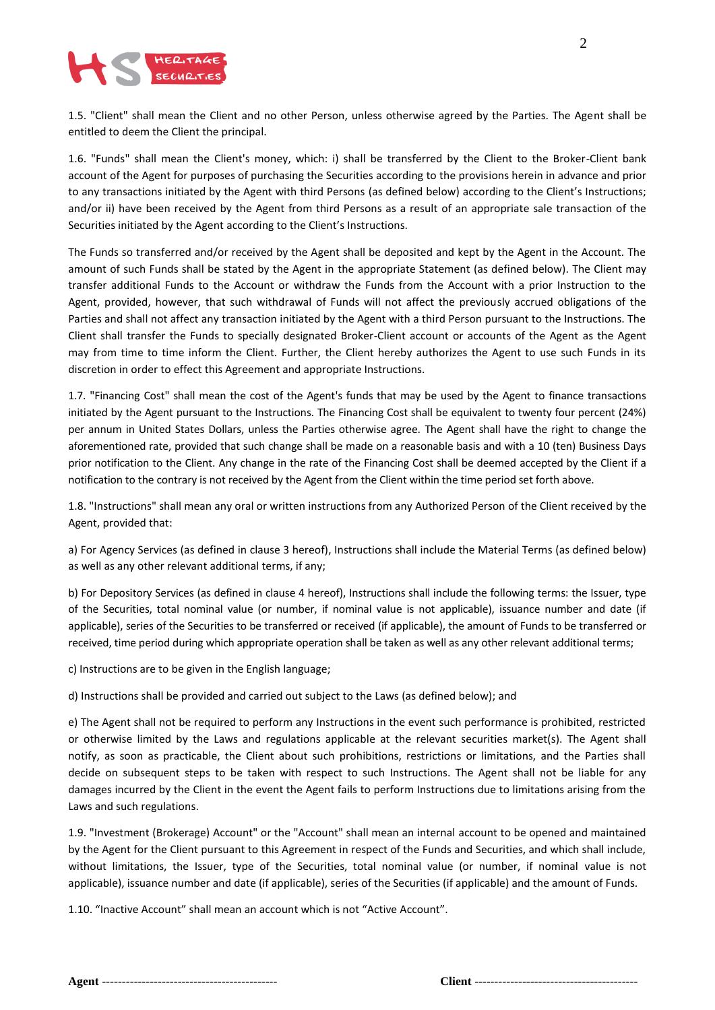

1.5. "Client" shall mean the Client and no other Person, unless otherwise agreed by the Parties. The Agent shall be entitled to deem the Client the principal.

1.6. "Funds" shall mean the Client's money, which: i) shall be transferred by the Client to the Broker-Client bank account of the Agent for purposes of purchasing the Securities according to the provisions herein in advance and prior to any transactions initiated by the Agent with third Persons (as defined below) according to the Client's Instructions; and/or ii) have been received by the Agent from third Persons as a result of an appropriate sale transaction of the Securities initiated by the Agent according to the Client's Instructions.

The Funds so transferred and/or received by the Agent shall be deposited and kept by the Agent in the Account. The amount of such Funds shall be stated by the Agent in the appropriate Statement (as defined below). The Client may transfer additional Funds to the Account or withdraw the Funds from the Account with a prior Instruction to the Agent, provided, however, that such withdrawal of Funds will not affect the previously accrued obligations of the Parties and shall not affect any transaction initiated by the Agent with a third Person pursuant to the Instructions. The Client shall transfer the Funds to specially designated Broker-Client account or accounts of the Agent as the Agent may from time to time inform the Client. Further, the Client hereby authorizes the Agent to use such Funds in its discretion in order to effect this Agreement and appropriate Instructions.

1.7. "Financing Cost" shall mean the cost of the Agent's funds that may be used by the Agent to finance transactions initiated by the Agent pursuant to the Instructions. The Financing Cost shall be equivalent to twenty four percent (24%) per annum in United States Dollars, unless the Parties otherwise agree. The Agent shall have the right to change the aforementioned rate, provided that such change shall be made on a reasonable basis and with a 10 (ten) Business Days prior notification to the Client. Any change in the rate of the Financing Cost shall be deemed accepted by the Client if a notification to the contrary is not received by the Agent from the Client within the time period set forth above.

1.8. "Instructions" shall mean any oral or written instructions from any Authorized Person of the Client received by the Agent, provided that:

a) For Agency Services (as defined in clause 3 hereof), Instructions shall include the Material Terms (as defined below) as well as any other relevant additional terms, if any;

b) For Depository Services (as defined in clause 4 hereof), Instructions shall include the following terms: the Issuer, type of the Securities, total nominal value (or number, if nominal value is not applicable), issuance number and date (if applicable), series of the Securities to be transferred or received (if applicable), the amount of Funds to be transferred or received, time period during which appropriate operation shall be taken as well as any other relevant additional terms;

c) Instructions are to be given in the English language;

d) Instructions shall be provided and carried out subject to the Laws (as defined below); and

e) The Agent shall not be required to perform any Instructions in the event such performance is prohibited, restricted or otherwise limited by the Laws and regulations applicable at the relevant securities market(s). The Agent shall notify, as soon as practicable, the Client about such prohibitions, restrictions or limitations, and the Parties shall decide on subsequent steps to be taken with respect to such Instructions. The Agent shall not be liable for any damages incurred by the Client in the event the Agent fails to perform Instructions due to limitations arising from the Laws and such regulations.

1.9. "Investment (Brokerage) Account" or the "Account" shall mean an internal account to be opened and maintained by the Agent for the Client pursuant to this Agreement in respect of the Funds and Securities, and which shall include, without limitations, the Issuer, type of the Securities, total nominal value (or number, if nominal value is not applicable), issuance number and date (if applicable), series of the Securities (if applicable) and the amount of Funds.

1.10. "Inactive Account" shall mean an account which is not "Active Account".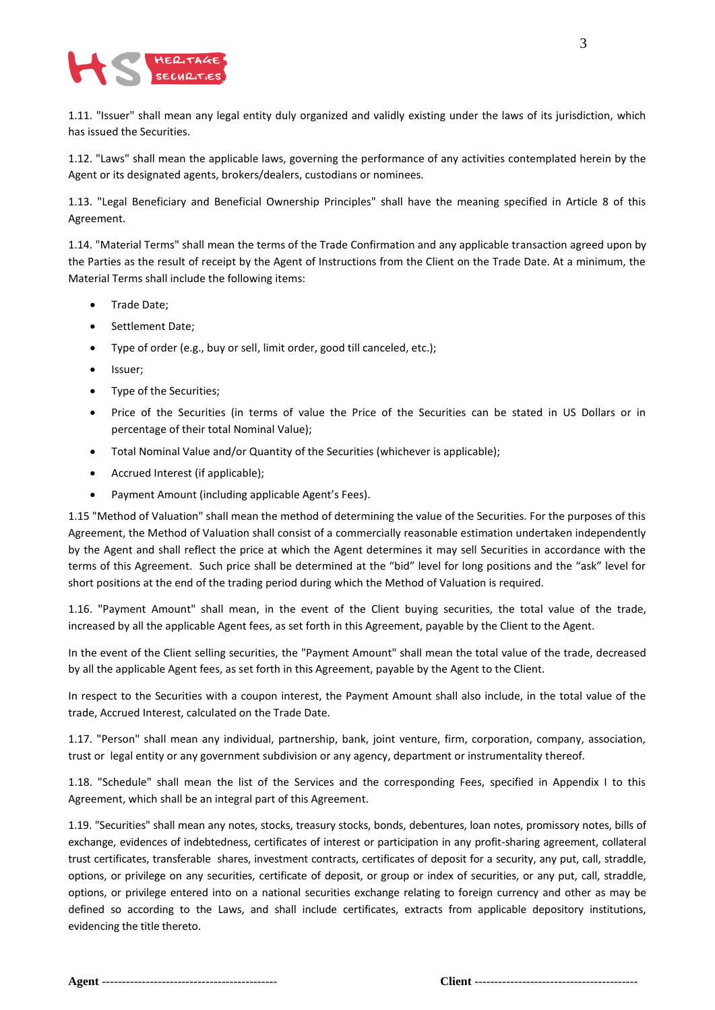

1.11. "Issuer" shall mean any legal entity duly organized and validly existing under the laws of its jurisdiction, which has issued the Securities.

1.12. "Laws" shall mean the applicable laws, governing the performance of any activities contemplated herein by the Agent or its designated agents, brokers/dealers, custodians or nominees.

1.13. "Legal Beneficiary and Beneficial Ownership Principles" shall have the meaning specified in Article 8 of this Agreement.

1.14. "Material Terms" shall mean the terms of the Trade Confirmation and any applicable transaction agreed upon by the Parties as the result of receipt by the Agent of Instructions from the Client on the Trade Date. At a minimum, the Material Terms shall include the following items:

- Trade Date;
- Settlement Date;
- Type of order (e.g., buy or sell, limit order, good till canceled, etc.);
- Issuer;
- Type of the Securities;
- Price of the Securities (in terms of value the Price of the Securities can be stated in US Dollars or in percentage of their total Nominal Value);
- Total Nominal Value and/or Quantity of the Securities (whichever is applicable);
- Accrued Interest (if applicable);
- Payment Amount (including applicable Agent's Fees).

1.15 "Method of Valuation" shall mean the method of determining the value of the Securities. For the purposes of this Agreement, the Method of Valuation shall consist of a commercially reasonable estimation undertaken independently by the Agent and shall reflect the price at which the Agent determines it may sell Securities in accordance with the terms of this Agreement. Such price shall be determined at the "bid" level for long positions and the "ask" level for short positions at the end of the trading period during which the Method of Valuation is required.

1.16. "Payment Amount" shall mean, in the event of the Client buying securities, the total value of the trade, increased by all the applicable Agent fees, as set forth in this Agreement, payable by the Client to the Agent.

In the event of the Client selling securities, the "Payment Amount" shall mean the total value of the trade, decreased by all the applicable Agent fees, as set forth in this Agreement, payable by the Agent to the Client.

In respect to the Securities with a coupon interest, the Payment Amount shall also include, in the total value of the trade, Accrued Interest, calculated on the Trade Date.

1.17. "Person" shall mean any individual, partnership, bank, joint venture, firm, corporation, company, association, trust or legal entity or any government subdivision or any agency, department or instrumentality thereof.

1.18. "Schedule" shall mean the list of the Services and the corresponding Fees, specified in Appendix I to this Agreement, which shall be an integral part of this Agreement.

1.19. "Securities" shall mean any notes, stocks, treasury stocks, bonds, debentures, loan notes, promissory notes, bills of exchange, evidences of indebtedness, certificates of interest or participation in any profit-sharing agreement, collateral trust certificates, transferable shares, investment contracts, certificates of deposit for a security, any put, call, straddle, options, or privilege on any securities, certificate of deposit, or group or index of securities, or any put, call, straddle, options, or privilege entered into on a national securities exchange relating to foreign currency and other as may be defined so according to the Laws, and shall include certificates, extracts from applicable depository institutions, evidencing the title thereto.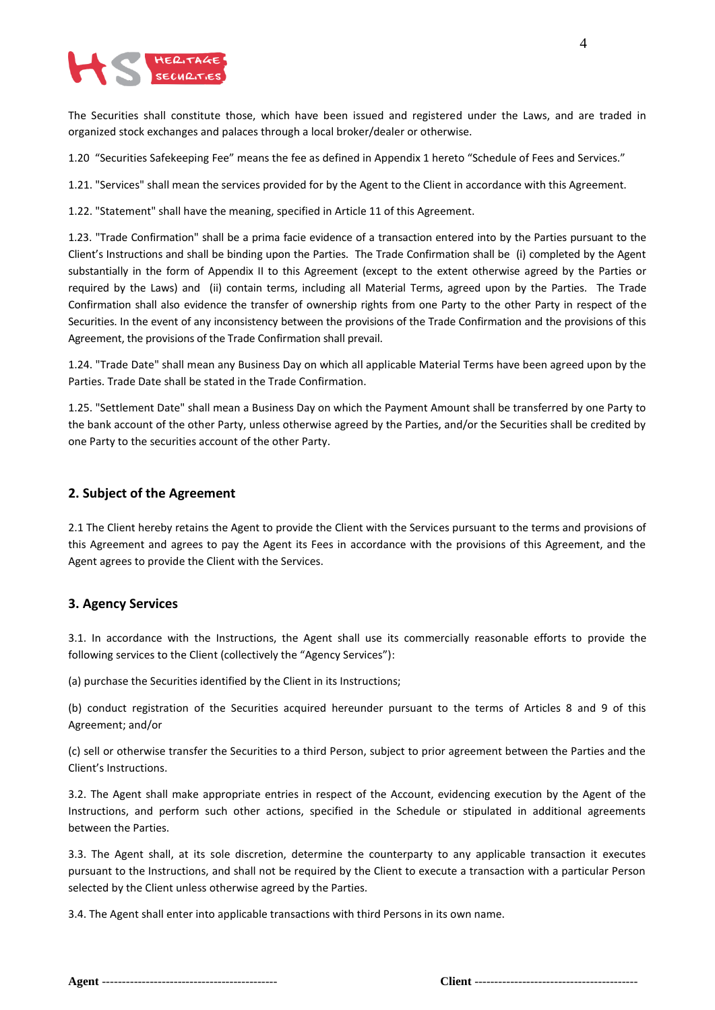

The Securities shall constitute those, which have been issued and registered under the Laws, and are traded in organized stock exchanges and palaces through a local broker/dealer or otherwise.

1.20 "Securities Safekeeping Fee" means the fee as defined in Appendix 1 hereto "Schedule of Fees and Services."

1.21. "Services" shall mean the services provided for by the Agent to the Client in accordance with this Agreement.

1.22. "Statement" shall have the meaning, specified in Article 11 of this Agreement.

1.23. "Trade Confirmation" shall be a prima facie evidence of a transaction entered into by the Parties pursuant to the Client's Instructions and shall be binding upon the Parties. The Trade Confirmation shall be (i) completed by the Agent substantially in the form of Appendix II to this Agreement (except to the extent otherwise agreed by the Parties or required by the Laws) and (ii) contain terms, including all Material Terms, agreed upon by the Parties. The Trade Confirmation shall also evidence the transfer of ownership rights from one Party to the other Party in respect of the Securities. In the event of any inconsistency between the provisions of the Trade Confirmation and the provisions of this Agreement, the provisions of the Trade Confirmation shall prevail.

1.24. "Trade Date" shall mean any Business Day on which all applicable Material Terms have been agreed upon by the Parties. Trade Date shall be stated in the Trade Confirmation.

1.25. "Settlement Date" shall mean a Business Day on which the Payment Amount shall be transferred by one Party to the bank account of the other Party, unless otherwise agreed by the Parties, and/or the Securities shall be credited by one Party to the securities account of the other Party.

#### **2. Subject of the Agreement**

2.1 The Client hereby retains the Agent to provide the Client with the Services pursuant to the terms and provisions of this Agreement and agrees to pay the Agent its Fees in accordance with the provisions of this Agreement, and the Agent agrees to provide the Client with the Services.

#### **3. Agency Services**

3.1. In accordance with the Instructions, the Agent shall use its commercially reasonable efforts to provide the following services to the Client (collectively the "Agency Services"):

(a) purchase the Securities identified by the Client in its Instructions;

(b) conduct registration of the Securities acquired hereunder pursuant to the terms of Articles 8 and 9 of this Agreement; and/or

(c) sell or otherwise transfer the Securities to a third Person, subject to prior agreement between the Parties and the Client's Instructions.

3.2. The Agent shall make appropriate entries in respect of the Account, evidencing execution by the Agent of the Instructions, and perform such other actions, specified in the Schedule or stipulated in additional agreements between the Parties.

3.3. The Agent shall, at its sole discretion, determine the counterparty to any applicable transaction it executes pursuant to the Instructions, and shall not be required by the Client to execute a transaction with a particular Person selected by the Client unless otherwise agreed by the Parties.

3.4. The Agent shall enter into applicable transactions with third Persons in its own name.

|--|--|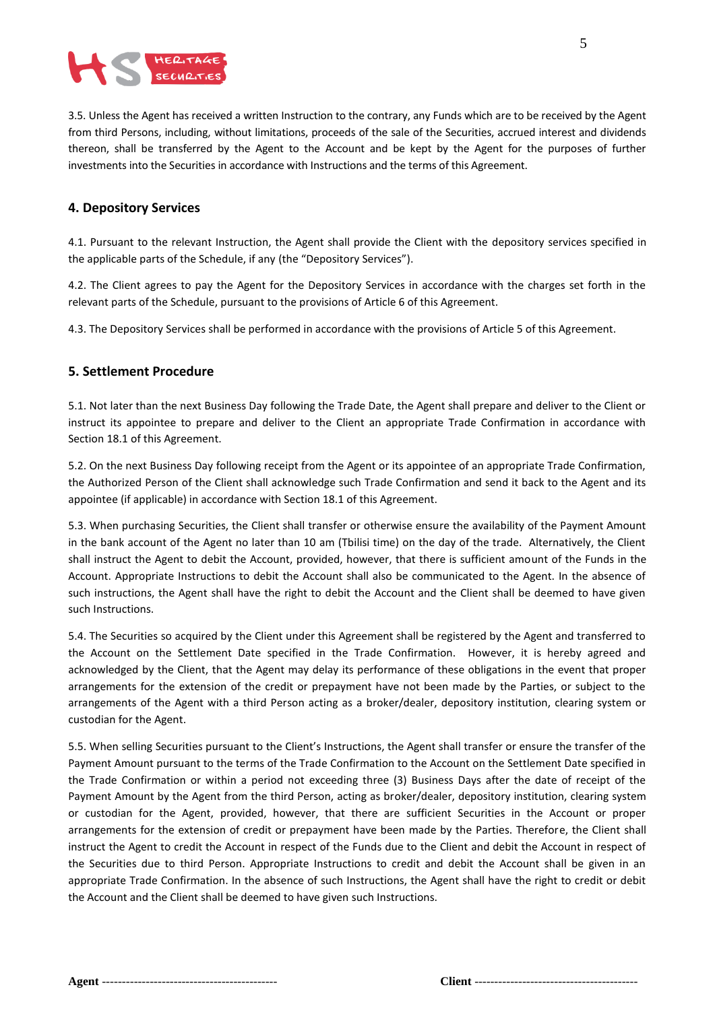

3.5. Unless the Agent has received a written Instruction to the contrary, any Funds which are to be received by the Agent from third Persons, including, without limitations, proceeds of the sale of the Securities, accrued interest and dividends thereon, shall be transferred by the Agent to the Account and be kept by the Agent for the purposes of further investments into the Securities in accordance with Instructions and the terms of this Agreement.

#### **4. Depository Services**

4.1. Pursuant to the relevant Instruction, the Agent shall provide the Client with the depository services specified in the applicable parts of the Schedule, if any (the "Depository Services").

4.2. The Client agrees to pay the Agent for the Depository Services in accordance with the charges set forth in the relevant parts of the Schedule, pursuant to the provisions of Article 6 of this Agreement.

4.3. The Depository Services shall be performed in accordance with the provisions of Article 5 of this Agreement.

#### **5. Settlement Procedure**

5.1. Not later than the next Business Day following the Trade Date, the Agent shall prepare and deliver to the Client or instruct its appointee to prepare and deliver to the Client an appropriate Trade Confirmation in accordance with Section 18.1 of this Agreement.

5.2. On the next Business Day following receipt from the Agent or its appointee of an appropriate Trade Confirmation, the Authorized Person of the Client shall acknowledge such Trade Confirmation and send it back to the Agent and its appointee (if applicable) in accordance with Section 18.1 of this Agreement.

5.3. When purchasing Securities, the Client shall transfer or otherwise ensure the availability of the Payment Amount in the bank account of the Agent no later than 10 am (Tbilisi time) on the day of the trade. Alternatively, the Client shall instruct the Agent to debit the Account, provided, however, that there is sufficient amount of the Funds in the Account. Appropriate Instructions to debit the Account shall also be communicated to the Agent. In the absence of such instructions, the Agent shall have the right to debit the Account and the Client shall be deemed to have given such Instructions.

5.4. The Securities so acquired by the Client under this Agreement shall be registered by the Agent and transferred to the Account on the Settlement Date specified in the Trade Confirmation. However, it is hereby agreed and acknowledged by the Client, that the Agent may delay its performance of these obligations in the event that proper arrangements for the extension of the credit or prepayment have not been made by the Parties, or subject to the arrangements of the Agent with a third Person acting as a broker/dealer, depository institution, clearing system or custodian for the Agent.

5.5. When selling Securities pursuant to the Client's Instructions, the Agent shall transfer or ensure the transfer of the Payment Amount pursuant to the terms of the Trade Confirmation to the Account on the Settlement Date specified in the Trade Confirmation or within a period not exceeding three (3) Business Days after the date of receipt of the Payment Amount by the Agent from the third Person, acting as broker/dealer, depository institution, clearing system or custodian for the Agent, provided, however, that there are sufficient Securities in the Account or proper arrangements for the extension of credit or prepayment have been made by the Parties. Therefore, the Client shall instruct the Agent to credit the Account in respect of the Funds due to the Client and debit the Account in respect of the Securities due to third Person. Appropriate Instructions to credit and debit the Account shall be given in an appropriate Trade Confirmation. In the absence of such Instructions, the Agent shall have the right to credit or debit the Account and the Client shall be deemed to have given such Instructions.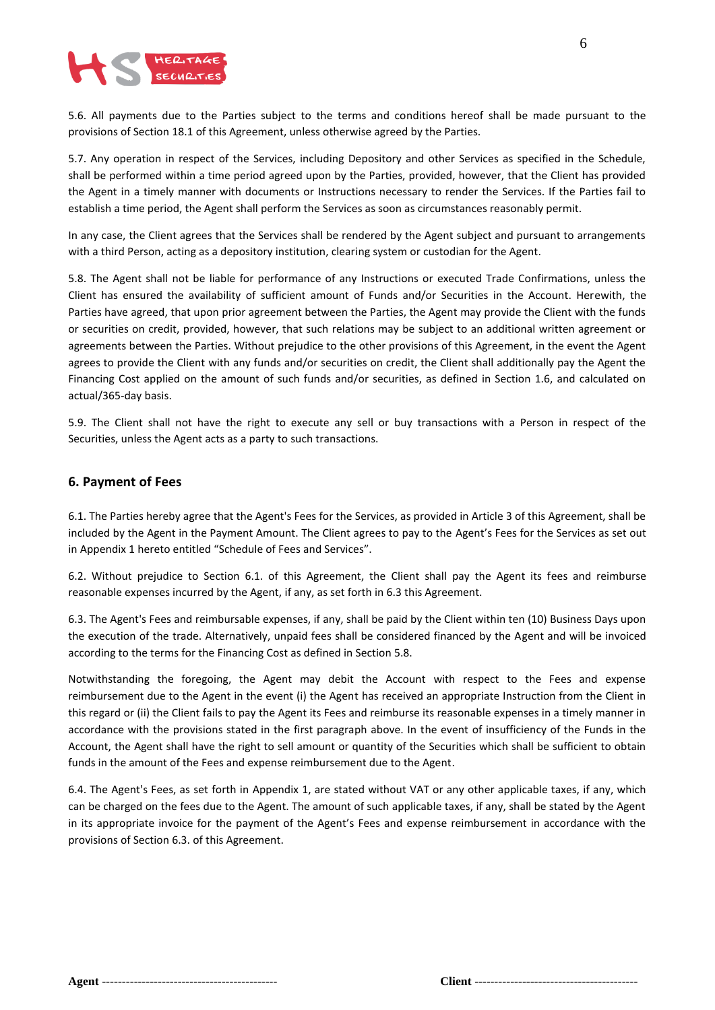

5.6. All payments due to the Parties subject to the terms and conditions hereof shall be made pursuant to the provisions of Section 18.1 of this Agreement, unless otherwise agreed by the Parties.

5.7. Any operation in respect of the Services, including Depository and other Services as specified in the Schedule, shall be performed within a time period agreed upon by the Parties, provided, however, that the Client has provided the Agent in a timely manner with documents or Instructions necessary to render the Services. If the Parties fail to establish a time period, the Agent shall perform the Services as soon as circumstances reasonably permit.

In any case, the Client agrees that the Services shall be rendered by the Agent subject and pursuant to arrangements with a third Person, acting as a depository institution, clearing system or custodian for the Agent.

5.8. The Agent shall not be liable for performance of any Instructions or executed Trade Confirmations, unless the Client has ensured the availability of sufficient amount of Funds and/or Securities in the Account. Herewith, the Parties have agreed, that upon prior agreement between the Parties, the Agent may provide the Client with the funds or securities on credit, provided, however, that such relations may be subject to an additional written agreement or agreements between the Parties. Without prejudice to the other provisions of this Agreement, in the event the Agent agrees to provide the Client with any funds and/or securities on credit, the Client shall additionally pay the Agent the Financing Cost applied on the amount of such funds and/or securities, as defined in Section 1.6, and calculated on actual/365-day basis.

5.9. The Client shall not have the right to execute any sell or buy transactions with a Person in respect of the Securities, unless the Agent acts as a party to such transactions.

#### **6. Payment of Fees**

6.1. The Parties hereby agree that the Agent's Fees for the Services, as provided in Article 3 of this Agreement, shall be included by the Agent in the Payment Amount. The Client agrees to pay to the Agent's Fees for the Services as set out in Appendix 1 hereto entitled "Schedule of Fees and Services".

6.2. Without prejudice to Section 6.1. of this Agreement, the Client shall pay the Agent its fees and reimburse reasonable expenses incurred by the Agent, if any, as set forth in 6.3 this Agreement.

6.3. The Agent's Fees and reimbursable expenses, if any, shall be paid by the Client within ten (10) Business Days upon the execution of the trade. Alternatively, unpaid fees shall be considered financed by the Agent and will be invoiced according to the terms for the Financing Cost as defined in Section 5.8.

Notwithstanding the foregoing, the Agent may debit the Account with respect to the Fees and expense reimbursement due to the Agent in the event (i) the Agent has received an appropriate Instruction from the Client in this regard or (ii) the Client fails to pay the Agent its Fees and reimburse its reasonable expenses in a timely manner in accordance with the provisions stated in the first paragraph above. In the event of insufficiency of the Funds in the Account, the Agent shall have the right to sell amount or quantity of the Securities which shall be sufficient to obtain funds in the amount of the Fees and expense reimbursement due to the Agent.

6.4. The Agent's Fees, as set forth in Appendix 1, are stated without VAT or any other applicable taxes, if any, which can be charged on the fees due to the Agent. The amount of such applicable taxes, if any, shall be stated by the Agent in its appropriate invoice for the payment of the Agent's Fees and expense reimbursement in accordance with the provisions of Section 6.3. of this Agreement.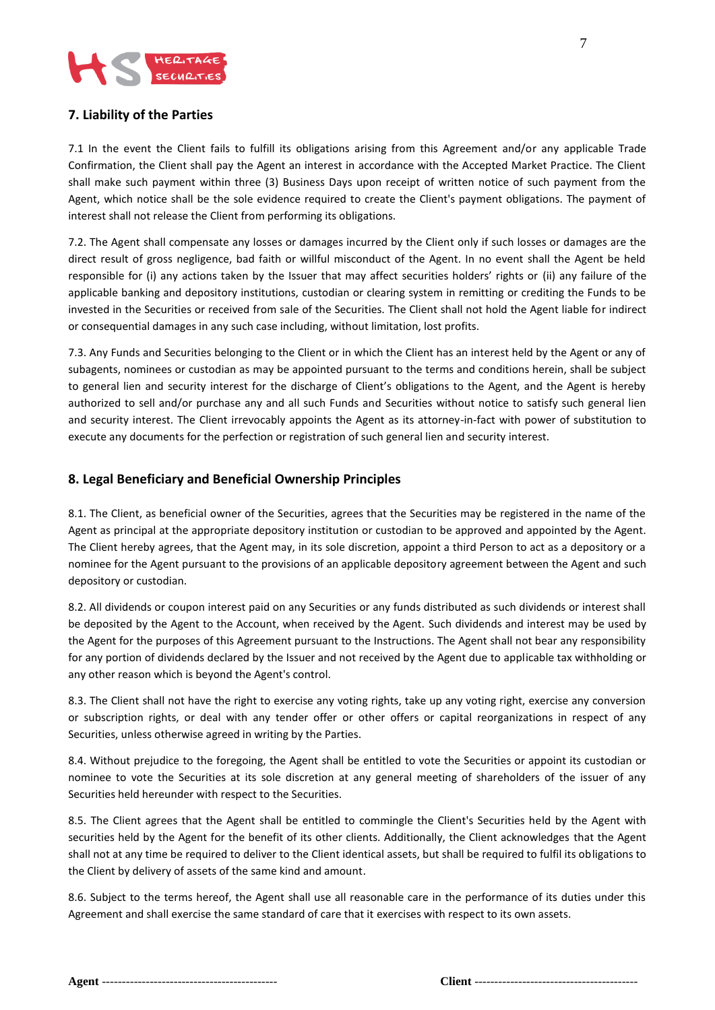

# **7. Liability of the Parties**

7.1 In the event the Client fails to fulfill its obligations arising from this Agreement and/or any applicable Trade Confirmation, the Client shall pay the Agent an interest in accordance with the Accepted Market Practice. The Client shall make such payment within three (3) Business Days upon receipt of written notice of such payment from the Agent, which notice shall be the sole evidence required to create the Client's payment obligations. The payment of interest shall not release the Client from performing its obligations.

7.2. The Agent shall compensate any losses or damages incurred by the Client only if such losses or damages are the direct result of gross negligence, bad faith or willful misconduct of the Agent. In no event shall the Agent be held responsible for (i) any actions taken by the Issuer that may affect securities holders' rights or (ii) any failure of the applicable banking and depository institutions, custodian or clearing system in remitting or crediting the Funds to be invested in the Securities or received from sale of the Securities. The Client shall not hold the Agent liable for indirect or consequential damages in any such case including, without limitation, lost profits.

7.3. Any Funds and Securities belonging to the Client or in which the Client has an interest held by the Agent or any of subagents, nominees or custodian as may be appointed pursuant to the terms and conditions herein, shall be subject to general lien and security interest for the discharge of Client's obligations to the Agent, and the Agent is hereby authorized to sell and/or purchase any and all such Funds and Securities without notice to satisfy such general lien and security interest. The Client irrevocably appoints the Agent as its attorney-in-fact with power of substitution to execute any documents for the perfection or registration of such general lien and security interest.

# **8. Legal Beneficiary and Beneficial Ownership Principles**

8.1. The Client, as beneficial owner of the Securities, agrees that the Securities may be registered in the name of the Agent as principal at the appropriate depository institution or custodian to be approved and appointed by the Agent. The Client hereby agrees, that the Agent may, in its sole discretion, appoint a third Person to act as a depository or a nominee for the Agent pursuant to the provisions of an applicable depository agreement between the Agent and such depository or custodian.

8.2. All dividends or coupon interest paid on any Securities or any funds distributed as such dividends or interest shall be deposited by the Agent to the Account, when received by the Agent. Such dividends and interest may be used by the Agent for the purposes of this Agreement pursuant to the Instructions. The Agent shall not bear any responsibility for any portion of dividends declared by the Issuer and not received by the Agent due to applicable tax withholding or any other reason which is beyond the Agent's control.

8.3. The Client shall not have the right to exercise any voting rights, take up any voting right, exercise any conversion or subscription rights, or deal with any tender offer or other offers or capital reorganizations in respect of any Securities, unless otherwise agreed in writing by the Parties.

8.4. Without prejudice to the foregoing, the Agent shall be entitled to vote the Securities or appoint its custodian or nominee to vote the Securities at its sole discretion at any general meeting of shareholders of the issuer of any Securities held hereunder with respect to the Securities.

8.5. The Client agrees that the Agent shall be entitled to commingle the Client's Securities held by the Agent with securities held by the Agent for the benefit of its other clients. Additionally, the Client acknowledges that the Agent shall not at any time be required to deliver to the Client identical assets, but shall be required to fulfil its obligations to the Client by delivery of assets of the same kind and amount.

8.6. Subject to the terms hereof, the Agent shall use all reasonable care in the performance of its duties under this Agreement and shall exercise the same standard of care that it exercises with respect to its own assets.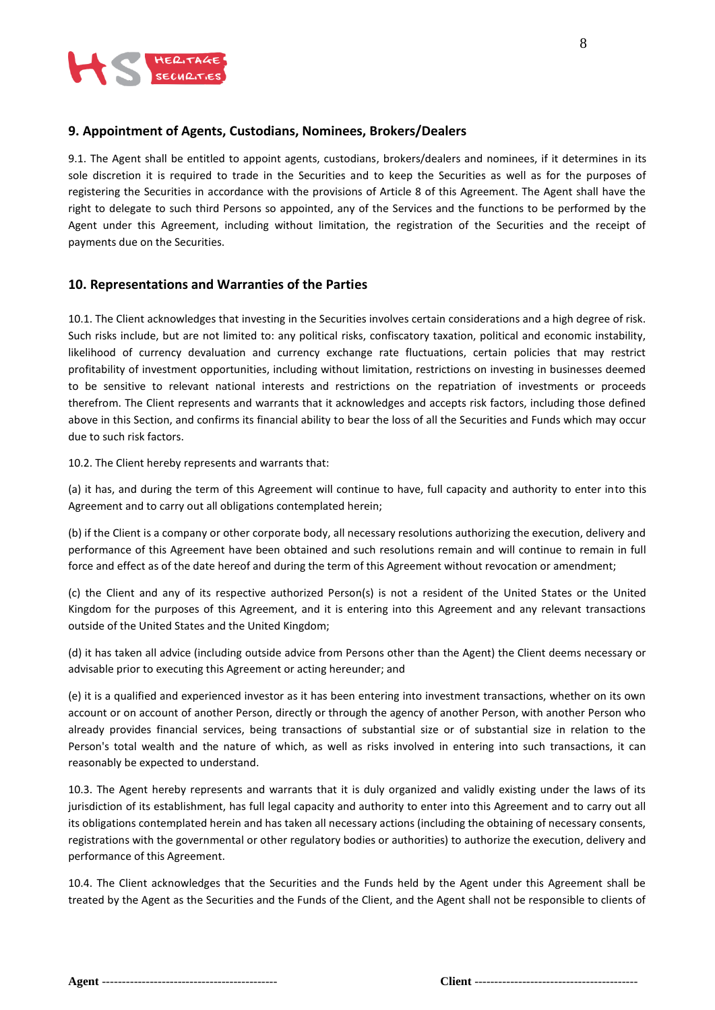

#### **9. Appointment of Agents, Custodians, Nominees, Brokers/Dealers**

9.1. The Agent shall be entitled to appoint agents, custodians, brokers/dealers and nominees, if it determines in its sole discretion it is required to trade in the Securities and to keep the Securities as well as for the purposes of registering the Securities in accordance with the provisions of Article 8 of this Agreement. The Agent shall have the right to delegate to such third Persons so appointed, any of the Services and the functions to be performed by the Agent under this Agreement, including without limitation, the registration of the Securities and the receipt of payments due on the Securities.

## **10. Representations and Warranties of the Parties**

10.1. The Client acknowledges that investing in the Securities involves certain considerations and a high degree of risk. Such risks include, but are not limited to: any political risks, confiscatory taxation, political and economic instability, likelihood of currency devaluation and currency exchange rate fluctuations, certain policies that may restrict profitability of investment opportunities, including without limitation, restrictions on investing in businesses deemed to be sensitive to relevant national interests and restrictions on the repatriation of investments or proceeds therefrom. The Client represents and warrants that it acknowledges and accepts risk factors, including those defined above in this Section, and confirms its financial ability to bear the loss of all the Securities and Funds which may occur due to such risk factors.

10.2. The Client hereby represents and warrants that:

(a) it has, and during the term of this Agreement will continue to have, full capacity and authority to enter into this Agreement and to carry out all obligations contemplated herein;

(b) if the Client is a company or other corporate body, all necessary resolutions authorizing the execution, delivery and performance of this Agreement have been obtained and such resolutions remain and will continue to remain in full force and effect as of the date hereof and during the term of this Agreement without revocation or amendment;

(c) the Client and any of its respective authorized Person(s) is not a resident of the United States or the United Kingdom for the purposes of this Agreement, and it is entering into this Agreement and any relevant transactions outside of the United States and the United Kingdom;

(d) it has taken all advice (including outside advice from Persons other than the Agent) the Client deems necessary or advisable prior to executing this Agreement or acting hereunder; and

(e) it is a qualified and experienced investor as it has been entering into investment transactions, whether on its own account or on account of another Person, directly or through the agency of another Person, with another Person who already provides financial services, being transactions of substantial size or of substantial size in relation to the Person's total wealth and the nature of which, as well as risks involved in entering into such transactions, it can reasonably be expected to understand.

10.3. The Agent hereby represents and warrants that it is duly organized and validly existing under the laws of its jurisdiction of its establishment, has full legal capacity and authority to enter into this Agreement and to carry out all its obligations contemplated herein and has taken all necessary actions (including the obtaining of necessary consents, registrations with the governmental or other regulatory bodies or authorities) to authorize the execution, delivery and performance of this Agreement.

10.4. The Client acknowledges that the Securities and the Funds held by the Agent under this Agreement shall be treated by the Agent as the Securities and the Funds of the Client, and the Agent shall not be responsible to clients of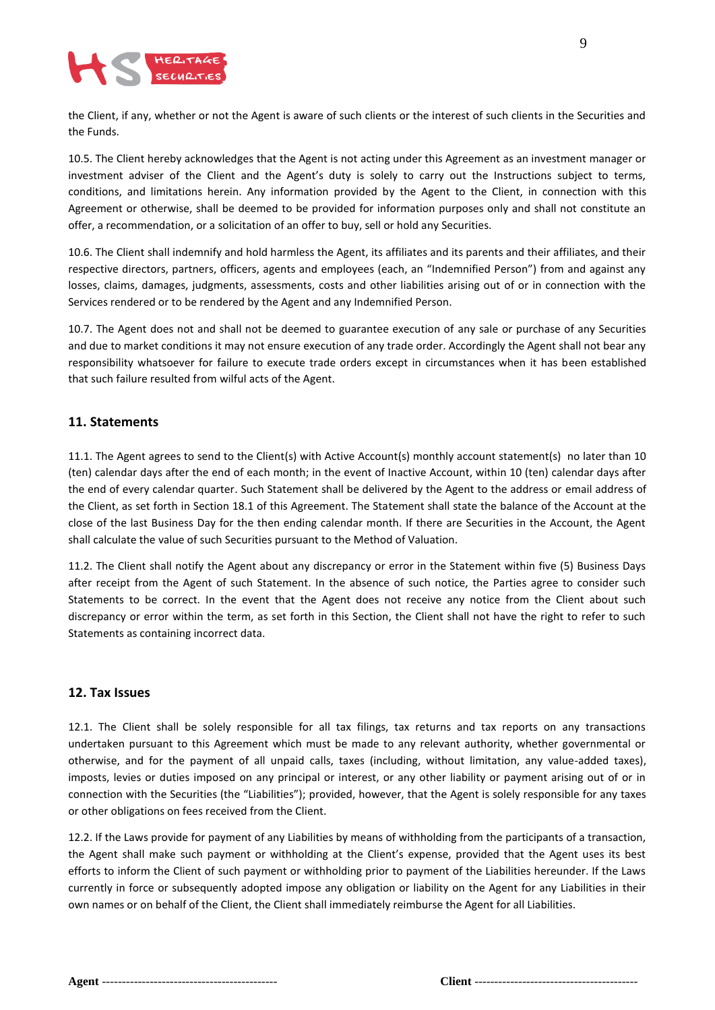

the Client, if any, whether or not the Agent is aware of such clients or the interest of such clients in the Securities and the Funds.

10.5. The Client hereby acknowledges that the Agent is not acting under this Agreement as an investment manager or investment adviser of the Client and the Agent's duty is solely to carry out the Instructions subject to terms, conditions, and limitations herein. Any information provided by the Agent to the Client, in connection with this Agreement or otherwise, shall be deemed to be provided for information purposes only and shall not constitute an offer, a recommendation, or a solicitation of an offer to buy, sell or hold any Securities.

10.6. The Client shall indemnify and hold harmless the Agent, its affiliates and its parents and their affiliates, and their respective directors, partners, officers, agents and employees (each, an "Indemnified Person") from and against any losses, claims, damages, judgments, assessments, costs and other liabilities arising out of or in connection with the Services rendered or to be rendered by the Agent and any Indemnified Person.

10.7. The Agent does not and shall not be deemed to guarantee execution of any sale or purchase of any Securities and due to market conditions it may not ensure execution of any trade order. Accordingly the Agent shall not bear any responsibility whatsoever for failure to execute trade orders except in circumstances when it has been established that such failure resulted from wilful acts of the Agent.

## **11. Statements**

11.1. The Agent agrees to send to the Client(s) with Active Account(s) monthly account statement(s) no later than 10 (ten) calendar days after the end of each month; in the event of Inactive Account, within 10 (ten) calendar days after the end of every calendar quarter. Such Statement shall be delivered by the Agent to the address or email address of the Client, as set forth in Section 18.1 of this Agreement. The Statement shall state the balance of the Account at the close of the last Business Day for the then ending calendar month. If there are Securities in the Account, the Agent shall calculate the value of such Securities pursuant to the Method of Valuation.

11.2. The Client shall notify the Agent about any discrepancy or error in the Statement within five (5) Business Days after receipt from the Agent of such Statement. In the absence of such notice, the Parties agree to consider such Statements to be correct. In the event that the Agent does not receive any notice from the Client about such discrepancy or error within the term, as set forth in this Section, the Client shall not have the right to refer to such Statements as containing incorrect data.

#### **12. Tax Issues**

12.1. The Client shall be solely responsible for all tax filings, tax returns and tax reports on any transactions undertaken pursuant to this Agreement which must be made to any relevant authority, whether governmental or otherwise, and for the payment of all unpaid calls, taxes (including, without limitation, any value-added taxes), imposts, levies or duties imposed on any principal or interest, or any other liability or payment arising out of or in connection with the Securities (the "Liabilities"); provided, however, that the Agent is solely responsible for any taxes or other obligations on fees received from the Client.

12.2. If the Laws provide for payment of any Liabilities by means of withholding from the participants of a transaction, the Agent shall make such payment or withholding at the Client's expense, provided that the Agent uses its best efforts to inform the Client of such payment or withholding prior to payment of the Liabilities hereunder. If the Laws currently in force or subsequently adopted impose any obligation or liability on the Agent for any Liabilities in their own names or on behalf of the Client, the Client shall immediately reimburse the Agent for all Liabilities.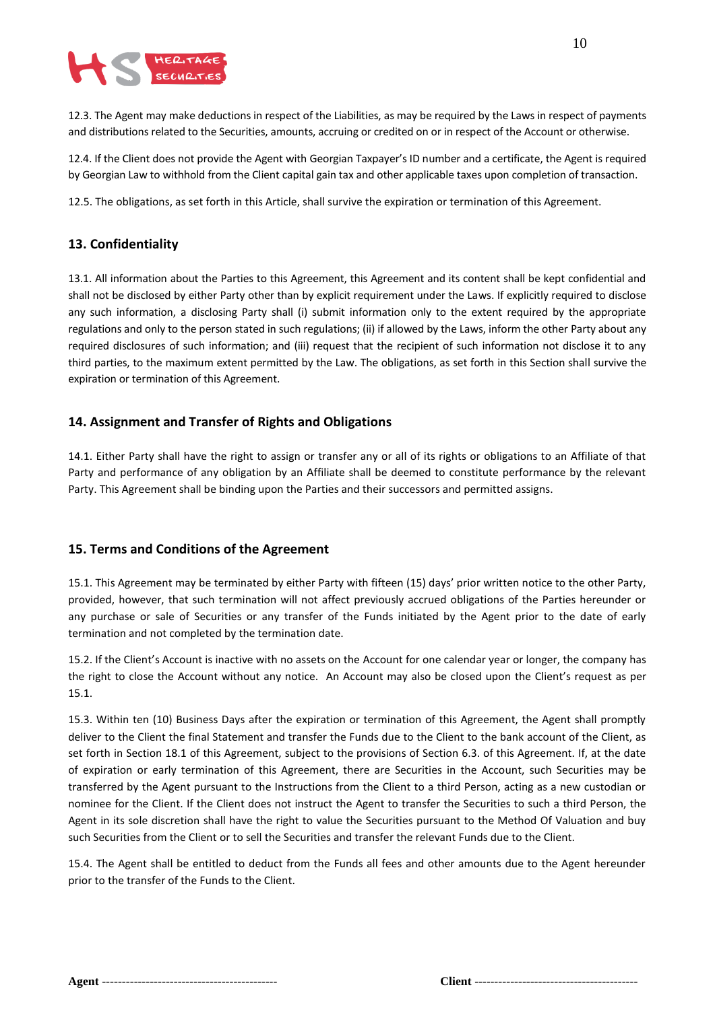

12.3. The Agent may make deductions in respect of the Liabilities, as may be required by the Laws in respect of payments and distributions related to the Securities, amounts, accruing or credited on or in respect of the Account or otherwise.

12.4. If the Client does not provide the Agent with Georgian Taxpayer's ID number and a certificate, the Agent is required by Georgian Law to withhold from the Client capital gain tax and other applicable taxes upon completion of transaction.

12.5. The obligations, as set forth in this Article, shall survive the expiration or termination of this Agreement.

## **13. Confidentiality**

13.1. All information about the Parties to this Agreement, this Agreement and its content shall be kept confidential and shall not be disclosed by either Party other than by explicit requirement under the Laws. If explicitly required to disclose any such information, a disclosing Party shall (i) submit information only to the extent required by the appropriate regulations and only to the person stated in such regulations; (ii) if allowed by the Laws, inform the other Party about any required disclosures of such information; and (iii) request that the recipient of such information not disclose it to any third parties, to the maximum extent permitted by the Law. The obligations, as set forth in this Section shall survive the expiration or termination of this Agreement.

#### **14. Assignment and Transfer of Rights and Obligations**

14.1. Either Party shall have the right to assign or transfer any or all of its rights or obligations to an Affiliate of that Party and performance of any obligation by an Affiliate shall be deemed to constitute performance by the relevant Party. This Agreement shall be binding upon the Parties and their successors and permitted assigns.

#### **15. Terms and Conditions of the Agreement**

15.1. This Agreement may be terminated by either Party with fifteen (15) days' prior written notice to the other Party, provided, however, that such termination will not affect previously accrued obligations of the Parties hereunder or any purchase or sale of Securities or any transfer of the Funds initiated by the Agent prior to the date of early termination and not completed by the termination date.

15.2. If the Client's Account is inactive with no assets on the Account for one calendar year or longer, the company has the right to close the Account without any notice. An Account may also be closed upon the Client's request as per 15.1.

15.3. Within ten (10) Business Days after the expiration or termination of this Agreement, the Agent shall promptly deliver to the Client the final Statement and transfer the Funds due to the Client to the bank account of the Client, as set forth in Section 18.1 of this Agreement, subject to the provisions of Section 6.3. of this Agreement. If, at the date of expiration or early termination of this Agreement, there are Securities in the Account, such Securities may be transferred by the Agent pursuant to the Instructions from the Client to a third Person, acting as a new custodian or nominee for the Client. If the Client does not instruct the Agent to transfer the Securities to such a third Person, the Agent in its sole discretion shall have the right to value the Securities pursuant to the Method Of Valuation and buy such Securities from the Client or to sell the Securities and transfer the relevant Funds due to the Client.

15.4. The Agent shall be entitled to deduct from the Funds all fees and other amounts due to the Agent hereunder prior to the transfer of the Funds to the Client.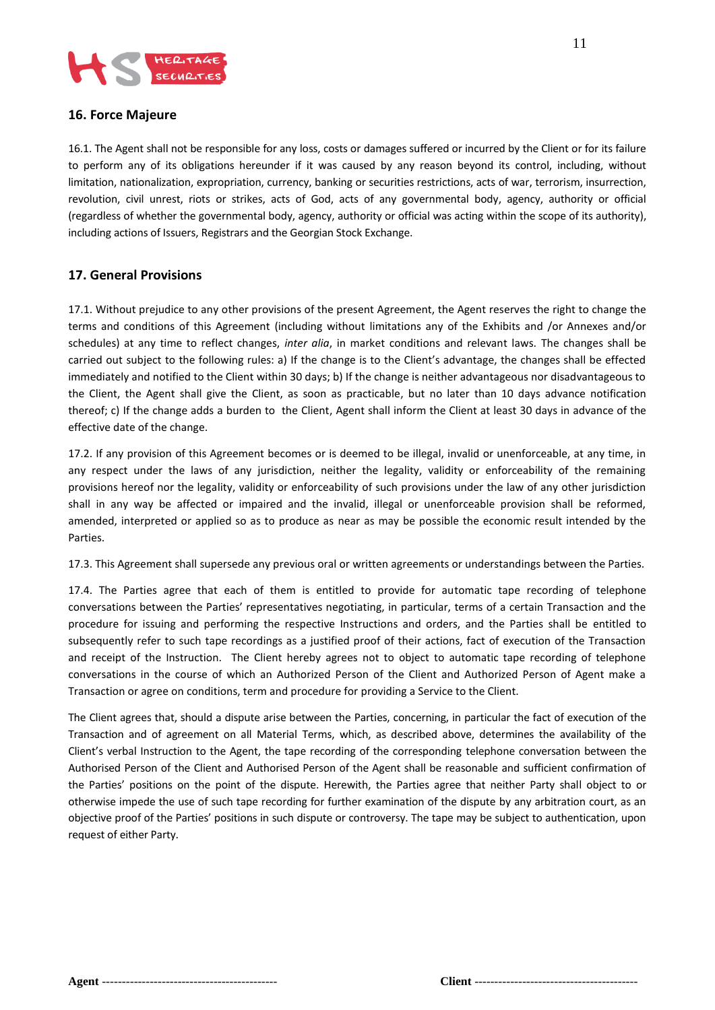

# **16. Force Majeure**

16.1. The Agent shall not be responsible for any loss, costs or damages suffered or incurred by the Client or for its failure to perform any of its obligations hereunder if it was caused by any reason beyond its control, including, without limitation, nationalization, expropriation, currency, banking or securities restrictions, acts of war, terrorism, insurrection, revolution, civil unrest, riots or strikes, acts of God, acts of any governmental body, agency, authority or official (regardless of whether the governmental body, agency, authority or official was acting within the scope of its authority), including actions of Issuers, Registrars and the Georgian Stock Exchange.

## **17. General Provisions**

17.1. Without prejudice to any other provisions of the present Agreement, the Agent reserves the right to change the terms and conditions of this Agreement (including without limitations any of the Exhibits and /or Annexes and/or schedules) at any time to reflect changes, *inter alia*, in market conditions and relevant laws. The changes shall be carried out subject to the following rules: a) If the change is to the Client's advantage, the changes shall be effected immediately and notified to the Client within 30 days; b) If the change is neither advantageous nor disadvantageous to the Client, the Agent shall give the Client, as soon as practicable, but no later than 10 days advance notification thereof; c) If the change adds a burden to the Client, Agent shall inform the Client at least 30 days in advance of the effective date of the change.

17.2. If any provision of this Agreement becomes or is deemed to be illegal, invalid or unenforceable, at any time, in any respect under the laws of any jurisdiction, neither the legality, validity or enforceability of the remaining provisions hereof nor the legality, validity or enforceability of such provisions under the law of any other jurisdiction shall in any way be affected or impaired and the invalid, illegal or unenforceable provision shall be reformed, amended, interpreted or applied so as to produce as near as may be possible the economic result intended by the Parties.

17.3. This Agreement shall supersede any previous oral or written agreements or understandings between the Parties.

17.4. The Parties agree that each of them is entitled to provide for automatic tape recording of telephone conversations between the Parties' representatives negotiating, in particular, terms of a certain Transaction and the procedure for issuing and performing the respective Instructions and orders, and the Parties shall be entitled to subsequently refer to such tape recordings as a justified proof of their actions, fact of execution of the Transaction and receipt of the Instruction. The Client hereby agrees not to object to automatic tape recording of telephone conversations in the course of which an Authorized Person of the Client and Authorized Person of Agent make a Transaction or agree on conditions, term and procedure for providing a Service to the Client.

The Client agrees that, should a dispute arise between the Parties, concerning, in particular the fact of execution of the Transaction and of agreement on all Material Terms, which, as described above, determines the availability of the Client's verbal Instruction to the Agent, the tape recording of the corresponding telephone conversation between the Authorised Person of the Client and Authorised Person of the Agent shall be reasonable and sufficient confirmation of the Parties' positions on the point of the dispute. Herewith, the Parties agree that neither Party shall object to or otherwise impede the use of such tape recording for further examination of the dispute by any arbitration court, as an objective proof of the Parties' positions in such dispute or controversy. The tape may be subject to authentication, upon request of either Party.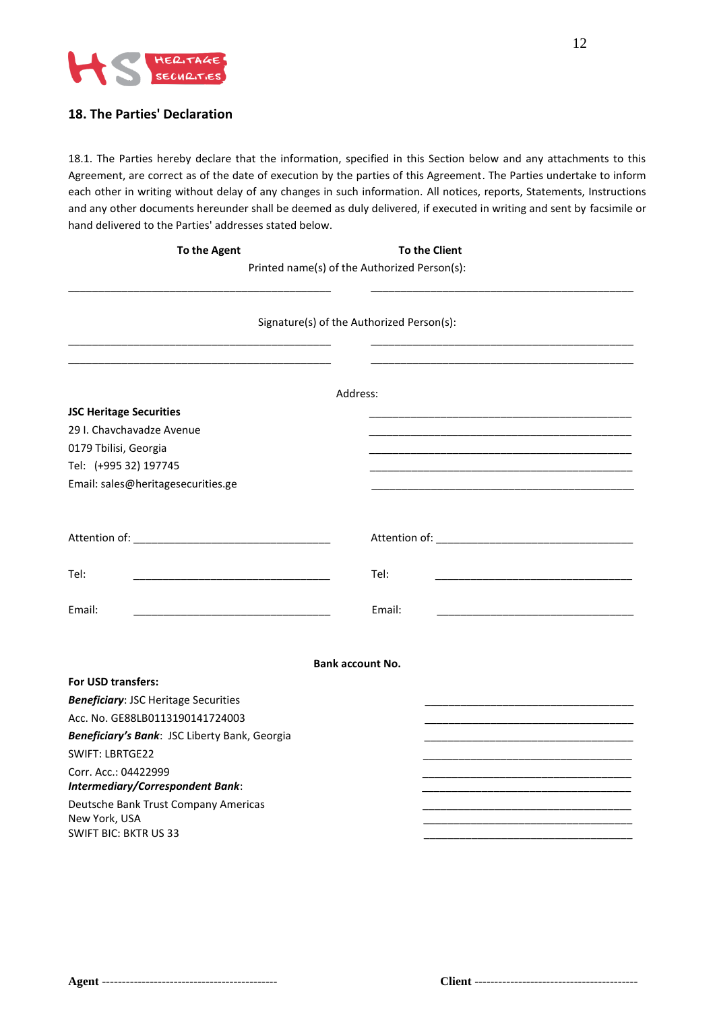

# **18. The Parties' Declaration**

18.1. The Parties hereby declare that the information, specified in this Section below and any attachments to this Agreement, are correct as of the date of execution by the parties of this Agreement. The Parties undertake to inform each other in writing without delay of any changes in such information. All notices, reports, Statements, Instructions and any other documents hereunder shall be deemed as duly delivered, if executed in writing and sent by facsimile or hand delivered to the Parties' addresses stated below.

| To the Agent |
|--------------|
|--------------|

**To the Client** 

Printed name(s) of the Authorized Person(s): \_\_\_\_\_\_\_\_\_\_\_\_\_\_\_\_\_\_\_\_\_\_\_\_\_\_\_\_\_\_\_\_\_\_\_\_\_\_\_\_\_\_\_\_ \_\_\_\_\_\_\_\_\_\_\_\_\_\_\_\_\_\_\_\_\_\_\_\_\_\_\_\_\_\_\_\_\_\_\_\_\_\_\_\_\_\_\_\_

|                                                                 | Signature(s) of the Authorized Person(s): |  |
|-----------------------------------------------------------------|-------------------------------------------|--|
|                                                                 |                                           |  |
|                                                                 | Address:                                  |  |
| <b>JSC Heritage Securities</b>                                  |                                           |  |
| 29 I. Chavchavadze Avenue                                       |                                           |  |
| 0179 Tbilisi, Georgia                                           |                                           |  |
| Tel: (+995 32) 197745                                           |                                           |  |
| Email: sales@heritagesecurities.ge                              |                                           |  |
|                                                                 |                                           |  |
|                                                                 |                                           |  |
| Tel:                                                            | Tel:                                      |  |
| Email:                                                          | Email:                                    |  |
|                                                                 |                                           |  |
|                                                                 | <b>Bank account No.</b>                   |  |
| For USD transfers:                                              |                                           |  |
| <b>Beneficiary: JSC Heritage Securities</b>                     |                                           |  |
| Acc. No. GE88LB0113190141724003                                 |                                           |  |
| Beneficiary's Bank: JSC Liberty Bank, Georgia                   |                                           |  |
| <b>SWIFT: LBRTGE22</b>                                          |                                           |  |
| Corr. Acc.: 04422999<br><b>Intermediary/Correspondent Bank:</b> |                                           |  |
| Deutsche Bank Trust Company Americas<br>New York, USA           |                                           |  |
| <b>SWIFT BIC: BKTR US 33</b>                                    |                                           |  |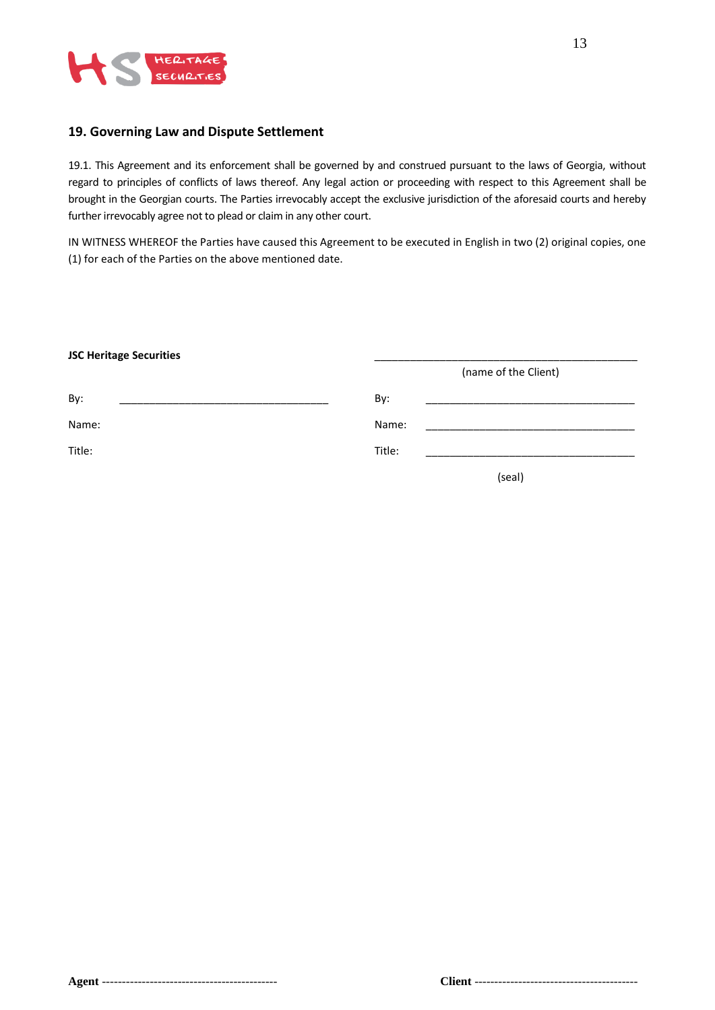

#### **19. Governing Law and Dispute Settlement**

19.1. This Agreement and its enforcement shall be governed by and construed pursuant to the laws of Georgia, without regard to principles of conflicts of laws thereof. Any legal action or proceeding with respect to this Agreement shall be brought in the Georgian courts. The Parties irrevocably accept the exclusive jurisdiction of the aforesaid courts and hereby further irrevocably agree not to plead or claim in any other court.

IN WITNESS WHEREOF the Parties have caused this Agreement to be executed in English in two (2) original copies, one (1) for each of the Parties on the above mentioned date.

| <b>JSC Heritage Securities</b> |                      |        |  |
|--------------------------------|----------------------|--------|--|
|                                | (name of the Client) |        |  |
| By:                            | By:                  |        |  |
| Name:                          | Name:                |        |  |
| Title:                         | Title:               |        |  |
|                                |                      | (seal) |  |
|                                |                      |        |  |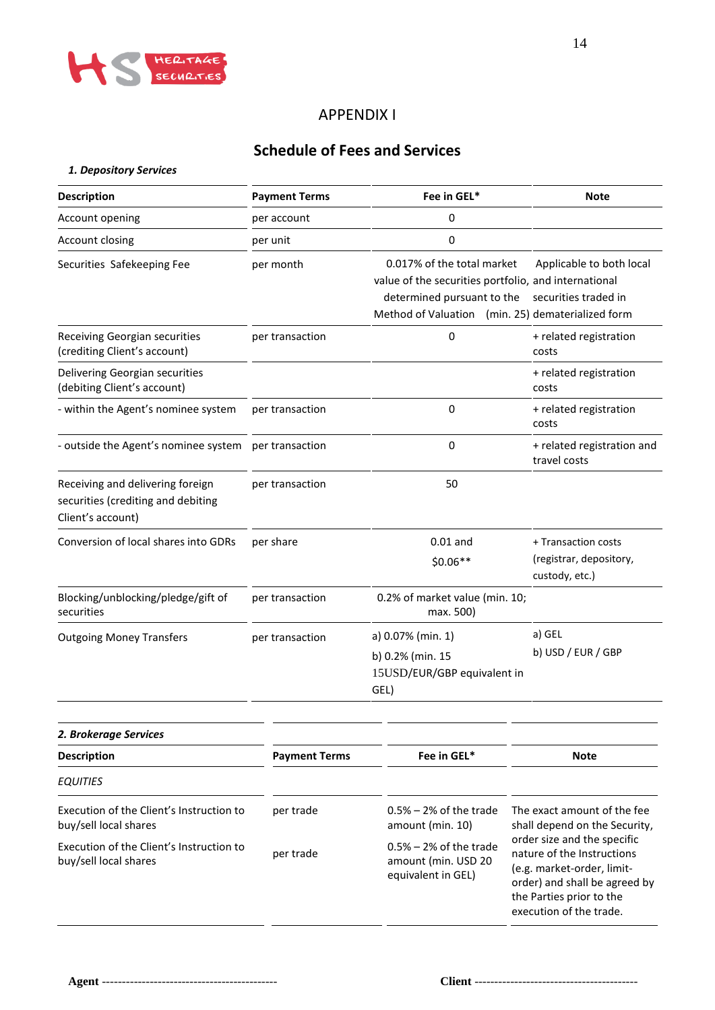

# APPENDIX I

# **Schedule of Fees and Services**

|  |  |  | 1. Depository Services |  |
|--|--|--|------------------------|--|
|--|--|--|------------------------|--|

| <b>Description</b>                                                                          | Fee in GEL*<br><b>Payment Terms</b> |                                                                                                                                                                       | <b>Note</b>                                                                                                                                                                     |
|---------------------------------------------------------------------------------------------|-------------------------------------|-----------------------------------------------------------------------------------------------------------------------------------------------------------------------|---------------------------------------------------------------------------------------------------------------------------------------------------------------------------------|
| Account opening                                                                             | per account                         | 0                                                                                                                                                                     |                                                                                                                                                                                 |
| Account closing                                                                             | per unit                            | $\pmb{0}$                                                                                                                                                             |                                                                                                                                                                                 |
| Securities Safekeeping Fee                                                                  | per month                           | 0.017% of the total market<br>value of the securities portfolio, and international<br>determined pursuant to the<br>Method of Valuation (min. 25) dematerialized form | Applicable to both local<br>securities traded in                                                                                                                                |
| Receiving Georgian securities<br>(crediting Client's account)                               | per transaction<br>0                |                                                                                                                                                                       | + related registration<br>costs                                                                                                                                                 |
| Delivering Georgian securities<br>(debiting Client's account)                               |                                     |                                                                                                                                                                       | + related registration<br>costs                                                                                                                                                 |
| - within the Agent's nominee system                                                         | per transaction                     | $\mathbf 0$                                                                                                                                                           | + related registration<br>costs                                                                                                                                                 |
| - outside the Agent's nominee system per transaction                                        |                                     | $\mathbf 0$                                                                                                                                                           | + related registration and<br>travel costs                                                                                                                                      |
| Receiving and delivering foreign<br>securities (crediting and debiting<br>Client's account) | per transaction                     | 50                                                                                                                                                                    |                                                                                                                                                                                 |
| Conversion of local shares into GDRs                                                        | per share                           | $0.01$ and<br>$$0.06**$                                                                                                                                               | + Transaction costs<br>(registrar, depository,<br>custody, etc.)                                                                                                                |
| Blocking/unblocking/pledge/gift of<br>securities                                            | per transaction                     | 0.2% of market value (min. 10;<br>max. 500)                                                                                                                           |                                                                                                                                                                                 |
| <b>Outgoing Money Transfers</b>                                                             | per transaction                     | a) 0.07% (min. 1)<br>b) 0.2% (min. 15<br>15USD/EUR/GBP equivalent in<br>GEL)                                                                                          | a) GEL<br>b) USD / EUR / GBP                                                                                                                                                    |
| 2. Brokerage Services                                                                       |                                     |                                                                                                                                                                       |                                                                                                                                                                                 |
| <b>Description</b>                                                                          | <b>Payment Terms</b>                | Fee in GEL*                                                                                                                                                           | <b>Note</b>                                                                                                                                                                     |
| <b>EQUITIES</b>                                                                             |                                     |                                                                                                                                                                       |                                                                                                                                                                                 |
| Execution of the Client's Instruction to<br>buy/sell local shares                           | per trade                           | $0.5\%$ – 2% of the trade<br>amount (min. 10)                                                                                                                         | The exact amount of the fee<br>shall depend on the Security,                                                                                                                    |
| Execution of the Client's Instruction to<br>buy/sell local shares                           | per trade                           | $0.5\%$ – 2% of the trade<br>amount (min. USD 20<br>equivalent in GEL)                                                                                                | order size and the specific<br>nature of the Instructions<br>(e.g. market-order, limit-<br>order) and shall be agreed by<br>the Parties prior to the<br>execution of the trade. |

 $\overline{\phantom{a}}$